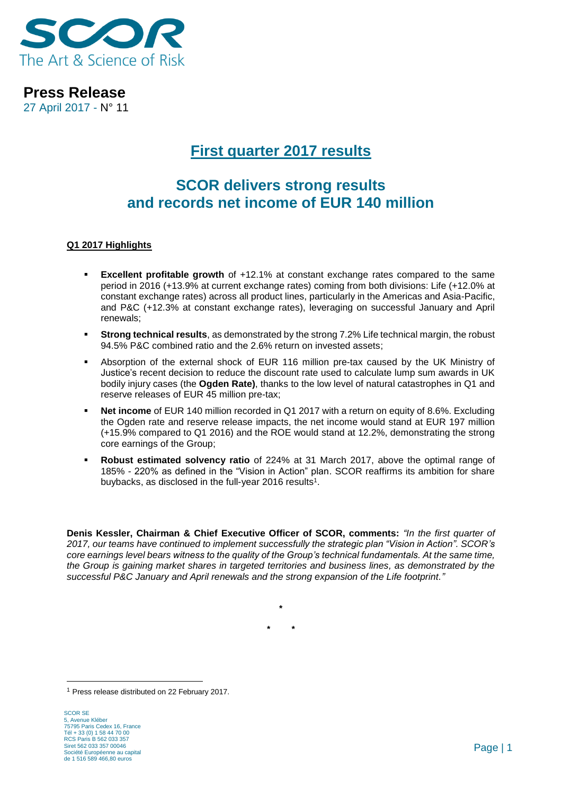

27 April 2017 - N° 11

# **First quarter 2017 results**

# **SCOR delivers strong results and records net income of EUR 140 million**

### **Q1 2017 Highlights**

- **Excellent profitable growth** of +12.1% at constant exchange rates compared to the same period in 2016 (+13.9% at current exchange rates) coming from both divisions: Life (+12.0% at constant exchange rates) across all product lines, particularly in the Americas and Asia-Pacific, and P&C (+12.3% at constant exchange rates), leveraging on successful January and April renewals;
- **Strong technical results**, as demonstrated by the strong 7.2% Life technical margin, the robust 94.5% P&C combined ratio and the 2.6% return on invested assets;
- Absorption of the external shock of EUR 116 million pre-tax caused by the UK Ministry of Justice's recent decision to reduce the discount rate used to calculate lump sum awards in UK bodily injury cases (the **Ogden Rate)**, thanks to the low level of natural catastrophes in Q1 and reserve releases of EUR 45 million pre-tax;
- **Net income** of EUR 140 million recorded in Q1 2017 with a return on equity of 8.6%. Excluding the Ogden rate and reserve release impacts, the net income would stand at EUR 197 million (+15.9% compared to Q1 2016) and the ROE would stand at 12.2%, demonstrating the strong core earnings of the Group;
- **Robust estimated solvency ratio** of 224% at 31 March 2017, above the optimal range of 185% - 220% as defined in the "Vision in Action" plan. SCOR reaffirms its ambition for share buybacks, as disclosed in the full-year 2016 results<sup>1</sup>.

**Denis Kessler, Chairman & Chief Executive Officer of SCOR, comments:** *"In the first quarter of 2017, our teams have continued to implement successfully the strategic plan "Vision in Action". SCOR's core earnings level bears witness to the quality of the Group's technical fundamentals. At the same time, the Group is gaining market shares in targeted territories and business lines, as demonstrated by the successful P&C January and April renewals and the strong expansion of the Life footprint."*

> **\* \* \***

<sup>1</sup> Press release distributed on 22 February 2017.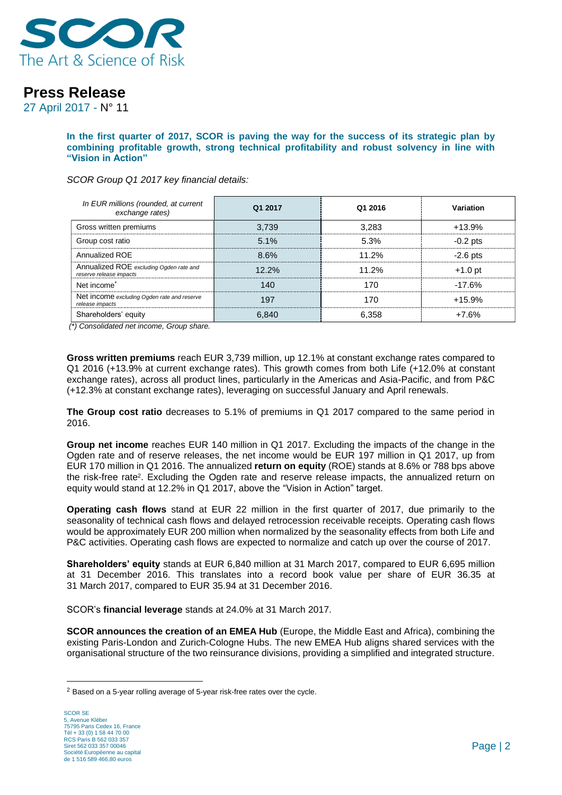

27 April 2017 - N° 11

**In the first quarter of 2017, SCOR is paving the way for the success of its strategic plan by combining profitable growth, strong technical profitability and robust solvency in line with "Vision in Action"**

*SCOR Group Q1 2017 key financial details:*

| In EUR millions (rounded, at current<br>exchange rates)            | Q1 2017 | Q1 2016 | Variation  |
|--------------------------------------------------------------------|---------|---------|------------|
| Gross written premiums                                             | 3,739   | 3,283   | $+13.9%$   |
| Group cost ratio                                                   | 5.1%    | 5.3%    | $-0.2$ pts |
| Annualized ROE                                                     | 8.6%    | 11.2%   | $-2.6$ pts |
| Annualized ROE excluding Ogden rate and<br>reserve release impacts | 12.2%   | 11.2%   | $+1.0$ pt  |
| Net income <sup>*</sup>                                            | 140     | 170     | $-17.6%$   |
| Net income excluding Ogden rate and reserve<br>release impacts     | 197     | 170     | $+15.9%$   |
| Shareholders' equity                                               | 6.840   | 6,358   | $+7.6%$    |

*(\*) Consolidated net income, Group share.*

**Gross written premiums** reach EUR 3,739 million, up 12.1% at constant exchange rates compared to Q1 2016 (+13.9% at current exchange rates). This growth comes from both Life (+12.0% at constant exchange rates), across all product lines, particularly in the Americas and Asia-Pacific, and from P&C (+12.3% at constant exchange rates), leveraging on successful January and April renewals.

**The Group cost ratio** decreases to 5.1% of premiums in Q1 2017 compared to the same period in 2016.

**Group net income** reaches EUR 140 million in Q1 2017. Excluding the impacts of the change in the Ogden rate and of reserve releases, the net income would be EUR 197 million in Q1 2017, up from EUR 170 million in Q1 2016. The annualized **return on equity** (ROE) stands at 8.6% or 788 bps above the risk-free rate<sup>2</sup>. Excluding the Ogden rate and reserve release impacts, the annualized return on equity would stand at 12.2% in Q1 2017, above the "Vision in Action" target.

**Operating cash flows** stand at EUR 22 million in the first quarter of 2017, due primarily to the seasonality of technical cash flows and delayed retrocession receivable receipts. Operating cash flows would be approximately EUR 200 million when normalized by the seasonality effects from both Life and P&C activities. Operating cash flows are expected to normalize and catch up over the course of 2017.

**Shareholders' equity** stands at EUR 6,840 million at 31 March 2017, compared to EUR 6,695 million at 31 December 2016. This translates into a record book value per share of EUR 36.35 at 31 March 2017, compared to EUR 35.94 at 31 December 2016.

SCOR's **financial leverage** stands at 24.0% at 31 March 2017.

**SCOR announces the creation of an EMEA Hub** (Europe, the Middle East and Africa), combining the existing Paris-London and Zurich-Cologne Hubs. The new EMEA Hub aligns shared services with the organisational structure of the two reinsurance divisions, providing a simplified and integrated structure.

<sup>&</sup>lt;sup>2</sup> Based on a 5-year rolling average of 5-year risk-free rates over the cycle.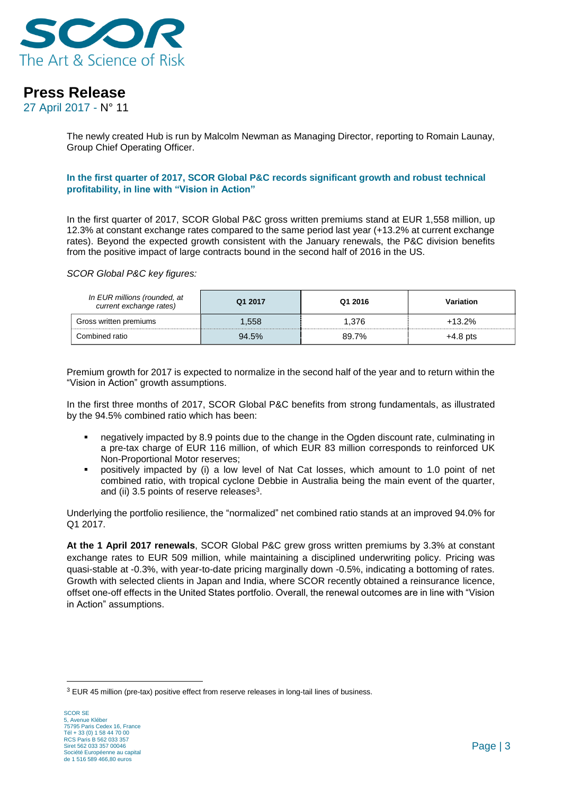

27 April 2017 - N° 11

The newly created Hub is run by Malcolm Newman as Managing Director, reporting to Romain Launay, Group Chief Operating Officer.

#### **In the first quarter of 2017, SCOR Global P&C records significant growth and robust technical profitability, in line with "Vision in Action"**

In the first quarter of 2017, SCOR Global P&C gross written premiums stand at EUR 1,558 million, up 12.3% at constant exchange rates compared to the same period last year (+13.2% at current exchange rates). Beyond the expected growth consistent with the January renewals, the P&C division benefits from the positive impact of large contracts bound in the second half of 2016 in the US.

*SCOR Global P&C key figures:*

| In EUR millions (rounded, at<br>current exchange rates) | Q1 2017 | Q1 2016 | Variation  |
|---------------------------------------------------------|---------|---------|------------|
| Gross written premiums                                  | 1.558   | 1.376   | $+13.2%$   |
| Combined ratio                                          | 94.5%   | 89.7%   | $+4.8$ pts |

Premium growth for 2017 is expected to normalize in the second half of the year and to return within the "Vision in Action" growth assumptions.

In the first three months of 2017, SCOR Global P&C benefits from strong fundamentals, as illustrated by the 94.5% combined ratio which has been:

- negatively impacted by 8.9 points due to the change in the Ogden discount rate, culminating in a pre-tax charge of EUR 116 million, of which EUR 83 million corresponds to reinforced UK Non-Proportional Motor reserves;
- positively impacted by (i) a low level of Nat Cat losses, which amount to 1.0 point of net combined ratio, with tropical cyclone Debbie in Australia being the main event of the quarter, and (ii) 3.5 points of reserve releases<sup>3</sup>.

Underlying the portfolio resilience, the "normalized" net combined ratio stands at an improved 94.0% for Q1 2017.

**At the 1 April 2017 renewals**, SCOR Global P&C grew gross written premiums by 3.3% at constant exchange rates to EUR 509 million, while maintaining a disciplined underwriting policy. Pricing was quasi-stable at -0.3%, with year-to-date pricing marginally down -0.5%, indicating a bottoming of rates. Growth with selected clients in Japan and India, where SCOR recently obtained a reinsurance licence, offset one-off effects in the United States portfolio. Overall, the renewal outcomes are in line with "Vision in Action" assumptions.

<sup>&</sup>lt;sup>3</sup> EUR 45 million (pre-tax) positive effect from reserve releases in long-tail lines of business.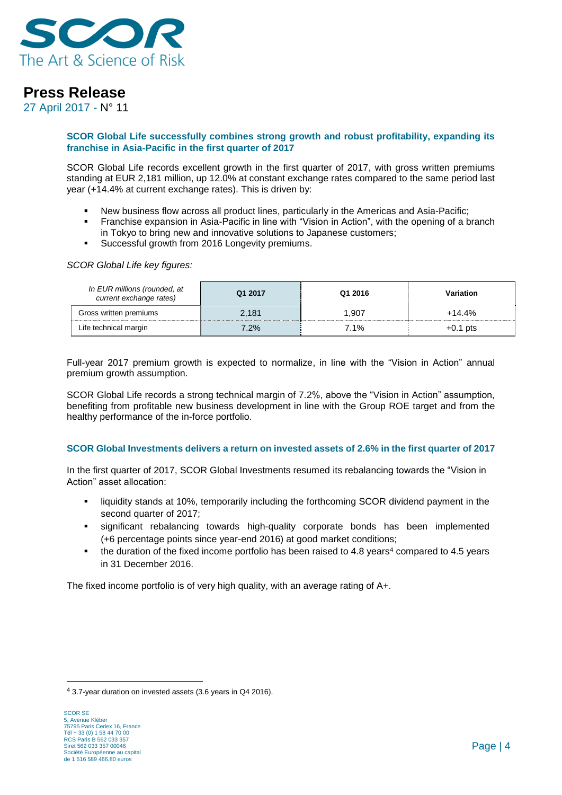

27 April 2017 - N° 11

#### **SCOR Global Life successfully combines strong growth and robust profitability, expanding its franchise in Asia-Pacific in the first quarter of 2017**

SCOR Global Life records excellent growth in the first quarter of 2017, with gross written premiums standing at EUR 2,181 million, up 12.0% at constant exchange rates compared to the same period last year (+14.4% at current exchange rates). This is driven by:

- New business flow across all product lines, particularly in the Americas and Asia-Pacific;
- **Franchise expansion in Asia-Pacific in line with "Vision in Action", with the opening of a branch** in Tokyo to bring new and innovative solutions to Japanese customers;
- **Successful growth from 2016 Longevity premiums.**

*SCOR Global Life key figures:* 

| In EUR millions (rounded, at<br>current exchange rates) | Q1 2017 | Q1 2016 | Variation  |
|---------------------------------------------------------|---------|---------|------------|
| Gross written premiums                                  | 2,181   | 1.907   | $+14.4%$   |
| Life technical margin                                   | 7.2%    | 7.1%    | $+0.1$ pts |

Full-year 2017 premium growth is expected to normalize, in line with the "Vision in Action" annual premium growth assumption.

SCOR Global Life records a strong technical margin of 7.2%, above the "Vision in Action" assumption, benefiting from profitable new business development in line with the Group ROE target and from the healthy performance of the in-force portfolio.

#### **SCOR Global Investments delivers a return on invested assets of 2.6% in the first quarter of 2017**

In the first quarter of 2017, SCOR Global Investments resumed its rebalancing towards the "Vision in Action" asset allocation:

- liquidity stands at 10%, temporarily including the forthcoming SCOR dividend payment in the second quarter of 2017;
- significant rebalancing towards high-quality corporate bonds has been implemented (+6 percentage points since year-end 2016) at good market conditions;
- the duration of the fixed income portfolio has been raised to  $4.8$  years<sup>4</sup> compared to  $4.5$  years in 31 December 2016.

The fixed income portfolio is of very high quality, with an average rating of A+.

<sup>4</sup> 3.7-year duration on invested assets (3.6 years in Q4 2016).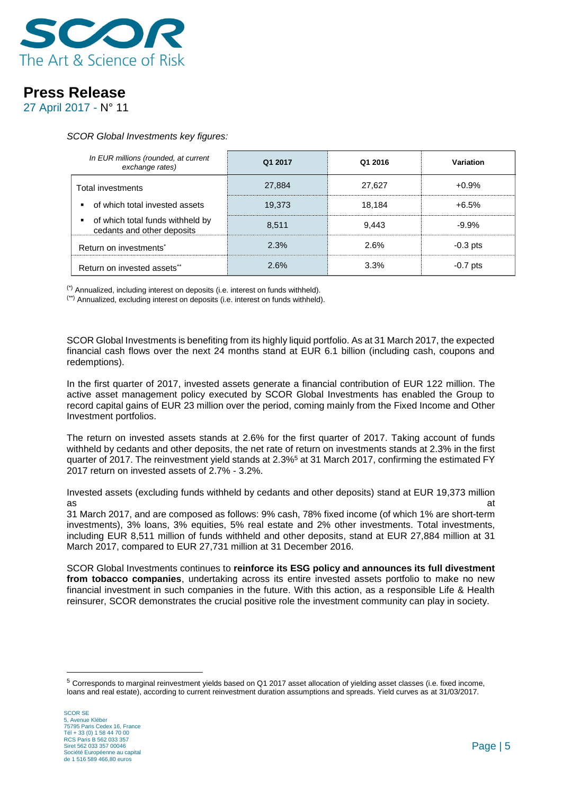

27 April 2017 - N° 11

#### *SCOR Global Investments key figures:*

| In EUR millions (rounded, at current<br>exchange rates)        | Q1 2017 | Q1 2016 | Variation  |
|----------------------------------------------------------------|---------|---------|------------|
| Total investments                                              | 27,884  | 27.627  | $+0.9%$    |
| of which total invested assets                                 | 19.373  | 18.184  | $+6.5%$    |
| of which total funds withheld by<br>cedants and other deposits | 8.511   | 9.443   | $-9.9%$    |
| Return on investments <sup>*</sup>                             | 2.3%    | 2.6%    | $-0.3$ pts |
| Return on invested assets**                                    | 2.6%    | 3.3%    | $-0.7$ pts |

(\*) Annualized, including interest on deposits (i.e. interest on funds withheld).

(\*\*) Annualized, excluding interest on deposits (i.e. interest on funds withheld).

SCOR Global Investments is benefiting from its highly liquid portfolio. As at 31 March 2017, the expected financial cash flows over the next 24 months stand at EUR 6.1 billion (including cash, coupons and redemptions).

In the first quarter of 2017, invested assets generate a financial contribution of EUR 122 million. The active asset management policy executed by SCOR Global Investments has enabled the Group to record capital gains of EUR 23 million over the period, coming mainly from the Fixed Income and Other Investment portfolios.

The return on invested assets stands at 2.6% for the first quarter of 2017. Taking account of funds withheld by cedants and other deposits, the net rate of return on investments stands at 2.3% in the first quarter of 2017. The reinvestment yield stands at 2.3%<sup>5</sup> at 31 March 2017, confirming the estimated FY 2017 return on invested assets of 2.7% - 3.2%.

Invested assets (excluding funds withheld by cedants and other deposits) stand at EUR 19,373 million as and a structure of the control of the control of the control of the control of the control of the control of

31 March 2017, and are composed as follows: 9% cash, 78% fixed income (of which 1% are short-term investments), 3% loans, 3% equities, 5% real estate and 2% other investments. Total investments, including EUR 8,511 million of funds withheld and other deposits, stand at EUR 27,884 million at 31 March 2017, compared to EUR 27,731 million at 31 December 2016.

SCOR Global Investments continues to **reinforce its ESG policy and announces its full divestment from tobacco companies**, undertaking across its entire invested assets portfolio to make no new financial investment in such companies in the future. With this action, as a responsible Life & Health reinsurer, SCOR demonstrates the crucial positive role the investment community can play in society.

<sup>5</sup> Corresponds to marginal reinvestment yields based on Q1 2017 asset allocation of yielding asset classes (i.e. fixed income, loans and real estate), according to current reinvestment duration assumptions and spreads. Yield curves as at 31/03/2017.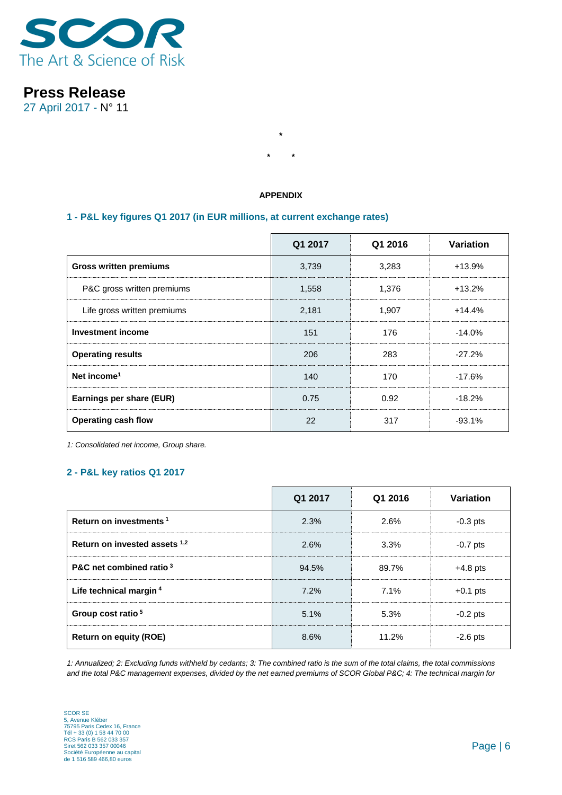

27 April 2017 - N° 11

### **APPENDIX**

**\***

**\* \***

### **1 - P&L key figures Q1 2017 (in EUR millions, at current exchange rates)**

|                               | Q1 2017 | Q1 2016 | Variation |
|-------------------------------|---------|---------|-----------|
| <b>Gross written premiums</b> | 3,739   | 3,283   | $+13.9%$  |
| P&C gross written premiums    | 1,558   | 1,376   | $+13.2%$  |
| Life gross written premiums   | 2,181   | 1,907   | $+14.4%$  |
| <b>Investment income</b>      | 151     | 176     | $-14.0%$  |
| <b>Operating results</b>      | 206     | 283     | $-27.2%$  |
| Net income <sup>1</sup>       | 140     | 170     | $-17.6%$  |
| Earnings per share (EUR)      | 0.75    | 0.92    | $-18.2%$  |
| <b>Operating cash flow</b>    | 22      | 317     | $-93.1%$  |

*1: Consolidated net income, Group share.*

### **2 - P&L key ratios Q1 2017**

|                                    | Q1 2017 | Q1 2016 | Variation  |
|------------------------------------|---------|---------|------------|
| Return on investments <sup>1</sup> | 2.3%    | 2.6%    | $-0.3$ pts |
| Return on invested assets 1,2      | 2.6%    | 3.3%    | $-0.7$ pts |
| P&C net combined ratio 3           | 94.5%   | 89.7%   | $+4.8$ pts |
| Life technical margin <sup>4</sup> | 7.2%    | 7.1%    | $+0.1$ pts |
| Group cost ratio <sup>5</sup>      | 5.1%    | 5.3%    | $-0.2$ pts |
| <b>Return on equity (ROE)</b>      | 8.6%    | 11.2%   | $-2.6$ pts |

*1: Annualized; 2: Excluding funds withheld by cedants; 3: The combined ratio is the sum of the total claims, the total commissions and the total P&C management expenses, divided by the net earned premiums of SCOR Global P&C; 4: The technical margin for*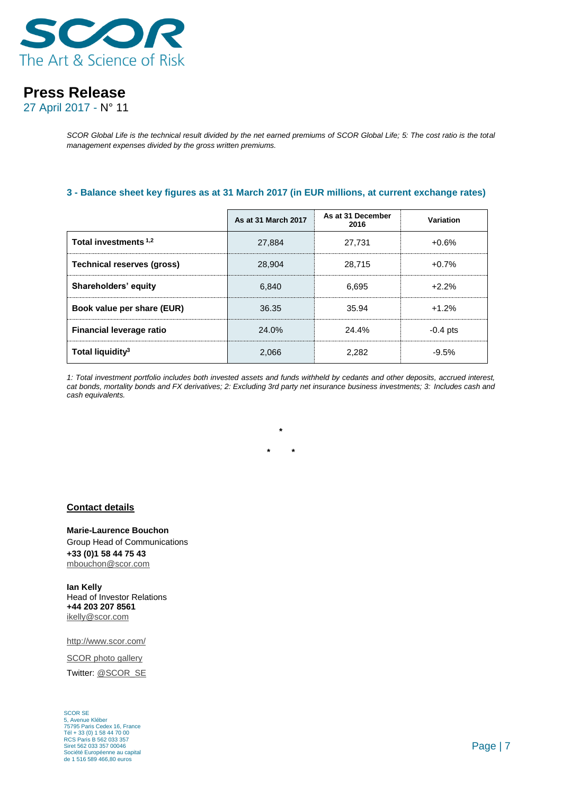

27 April 2017 - N° 11

*SCOR Global Life is the technical result divided by the net earned premiums of SCOR Global Life; 5: The cost ratio is the total management expenses divided by the gross written premiums.* 

#### **3 - Balance sheet key figures as at 31 March 2017 (in EUR millions, at current exchange rates)**

|                                   | As at 31 March 2017 | As at 31 December<br>2016 | Variation  |
|-----------------------------------|---------------------|---------------------------|------------|
| Total investments 1,2             | 27,884              | 27.731                    | $+0.6%$    |
| <b>Technical reserves (gross)</b> | 28,904              | 28,715                    | $+0.7%$    |
| Shareholders' equity              | 6.840               | 6.695                     | $+2.2%$    |
| Book value per share (EUR)        | 36.35               | 35.94                     | $+1.2%$    |
| <b>Financial leverage ratio</b>   | 24.0%               | 24.4%                     | $-0.4$ pts |
| Total liquidity <sup>3</sup>      | 2.066               | 2.282                     | $-9.5%$    |

*1: Total investment portfolio includes both invested assets and funds withheld by cedants and other deposits, accrued interest, cat bonds, mortality bonds and FX derivatives; 2: Excluding 3rd party net insurance business investments; 3: Includes cash and cash equivalents.*

**\***

**\* \***

#### **Contact details**

**Marie-Laurence Bouchon** Group Head of Communications **+33 (0)1 58 44 75 43** [mbouchon@scor.com](mailto:mbouchon@scor.com)

**Ian Kelly** Head of Investor Relations **+44 203 207 8561** [ikelly@scor.com](mailto:ikelly@scor.com)

[http://www.scor.com/](http://www.scor.com/en/)

[SCOR photo gallery](http://scor.com/en/media/photo-gallery.html)

Twitter: [@SCOR\\_SE](https://twitter.com/SCOR_SE)

SCOR SE 5, Avenue Kléber 75795 Paris Cedex 16, France Tél + 33 (0) 1 58 44 70 00 RCS Paris B 562 033 357 Siret 562 033 357 00046 Société Européenne au capital de 1 516 589 466,80 euros